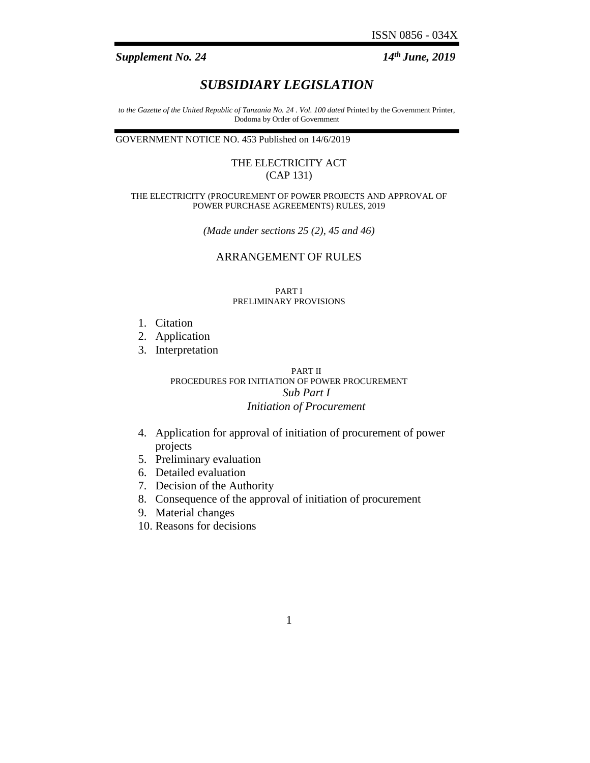*GN. NO. 453 (Contd.) Supplement No. 24* 14<sup>th</sup> *June, 2019* 

# *SUBSIDIARY LEGISLATION*

*to the Gazette of the United Republic of Tanzania No. 24 . Vol. 100 dated* Printed by the Government Printer, Dodoma by Order of Government

GOVERNMENT NOTICE NO. 453 Published on 14/6/2019

# THE ELECTRICITY ACT (CAP 131)

#### THE ELECTRICITY (PROCUREMENT OF POWER PROJECTS AND APPROVAL OF POWER PURCHASE AGREEMENTS) RULES, 2019

*(Made under sections 25 (2), 45 and 46)*

# ARRANGEMENT OF RULES

#### PART I PRELIMINARY PROVISIONS

- 1. Citation
- 2. Application
- 3. Interpretation

### PART II PROCEDURES FOR INITIATION OF POWER PROCUREMENT *Sub Part I Initiation of Procurement*

- 4. Application for approval of initiation of procurement of power projects
- 5. Preliminary evaluation
- 6. Detailed evaluation
- 7. Decision of the Authority
- 8. Consequence of the approval of initiation of procurement
- 9. Material changes
- 10. Reasons for decisions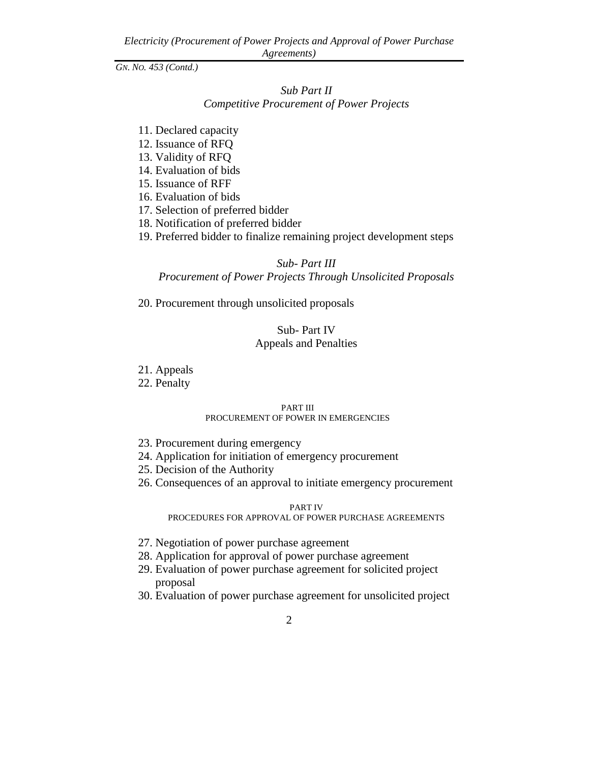*GN. NO. 453 (Contd.)*

# *Sub Part II Competitive Procurement of Power Projects*

- 11. Declared capacity
- 12. Issuance of RFQ
- 13. Validity of RFQ
- 14. Evaluation of bids
- 15. Issuance of RFF
- 16. Evaluation of bids
- 17. Selection of preferred bidder
- 18. Notification of preferred bidder
- 19. Preferred bidder to finalize remaining project development steps

# *Sub- Part III*

*Procurement of Power Projects Through Unsolicited Proposals*

20. Procurement through unsolicited proposals

# Sub- Part IV Appeals and Penalties

- 21. Appeals
- 22. Penalty

#### PART III PROCUREMENT OF POWER IN EMERGENCIES

- 23. Procurement during emergency
- 24. Application for initiation of emergency procurement
- 25. Decision of the Authority
- 26. Consequences of an approval to initiate emergency procurement

#### PART IV

PROCEDURES FOR APPROVAL OF POWER PURCHASE AGREEMENTS

- 27. Negotiation of power purchase agreement
- 28. Application for approval of power purchase agreement
- 29. Evaluation of power purchase agreement for solicited project proposal
- 30. Evaluation of power purchase agreement for unsolicited project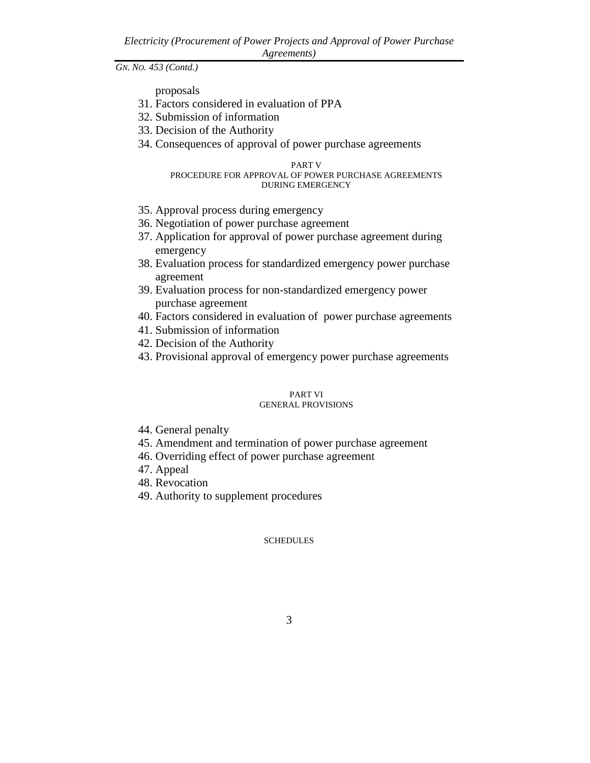proposals

- 31. Factors considered in evaluation of PPA
- 32. Submission of information
- 33. Decision of the Authority
- 34. Consequences of approval of power purchase agreements

#### PART V PROCEDURE FOR APPROVAL OF POWER PURCHASE AGREEMENTS DURING EMERGENCY

- 35. Approval process during emergency
- 36. Negotiation of power purchase agreement
- 37. Application for approval of power purchase agreement during emergency
- 38. Evaluation process for standardized emergency power purchase agreement
- 39. Evaluation process for non-standardized emergency power purchase agreement
- 40. Factors considered in evaluation of power purchase agreements
- 41. Submission of information
- 42. Decision of the Authority
- 43. Provisional approval of emergency power purchase agreements

#### PART VI GENERAL PROVISIONS

- 44. General penalty
- 45. Amendment and termination of power purchase agreement
- 46. Overriding effect of power purchase agreement
- 47. Appeal
- 48. Revocation
- 49. Authority to supplement procedures

# SCHEDULES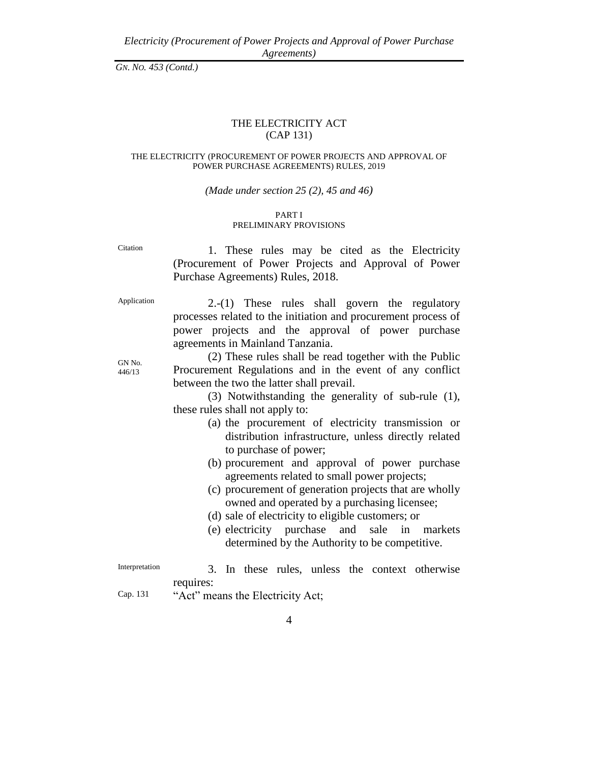# THE ELECTRICITY ACT (CAP 131)

#### THE ELECTRICITY (PROCUREMENT OF POWER PROJECTS AND APPROVAL OF POWER PURCHASE AGREEMENTS) RULES, 2019

#### *(Made under section 25 (2), 45 and 46)*

#### PART I PRELIMINARY PROVISIONS

Citation 1. These rules may be cited as the Electricity (Procurement of Power Projects and Approval of Power Purchase Agreements) Rules, 2018.

GN No. 446/13

Application 2.-(1) These rules shall govern the regulatory processes related to the initiation and procurement process of power projects and the approval of power purchase agreements in Mainland Tanzania.

> (2) These rules shall be read together with the Public Procurement Regulations and in the event of any conflict between the two the latter shall prevail.

(3) Notwithstanding the generality of sub-rule (1), these rules shall not apply to:

- (a) the procurement of electricity transmission or distribution infrastructure, unless directly related to purchase of power;
- (b) procurement and approval of power purchase agreements related to small power projects;
- (c) procurement of generation projects that are wholly owned and operated by a purchasing licensee;
- (d) sale of electricity to eligible customers; or
- (e) electricity purchase and sale in markets determined by the Authority to be competitive.

- Interpretation 3. In these rules, unless the context otherwise requires:
- Cap. 131 "Act" means the Electricity Act;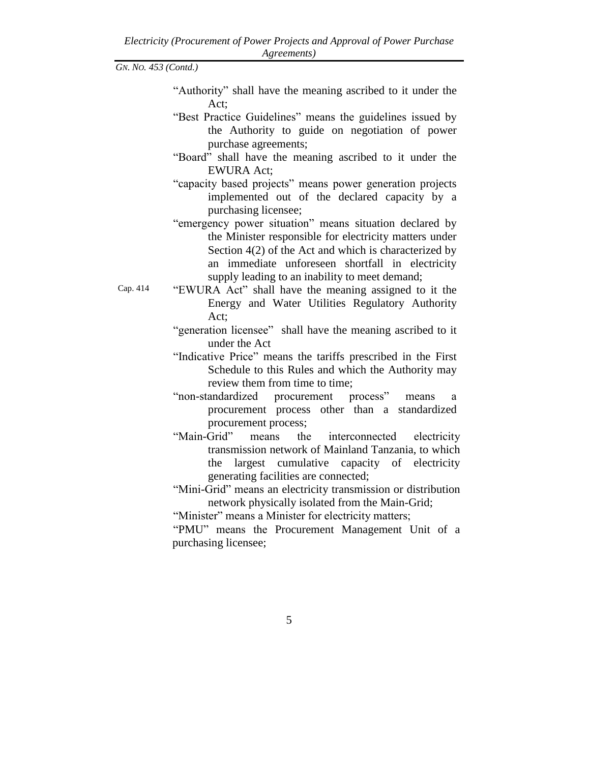- "Authority" shall have the meaning ascribed to it under the Act;
- "Best Practice Guidelines" means the guidelines issued by the Authority to guide on negotiation of power purchase agreements;
- "Board" shall have the meaning ascribed to it under the EWURA Act;
- "capacity based projects" means power generation projects implemented out of the declared capacity by a purchasing licensee;
- "emergency power situation" means situation declared by the Minister responsible for electricity matters under Section 4(2) of the Act and which is characterized by an immediate unforeseen shortfall in electricity supply leading to an inability to meet demand;
- Cap. 414 "EWURA Act" shall have the meaning assigned to it the Energy and Water Utilities Regulatory Authority Act;
	- "generation licensee" shall have the meaning ascribed to it under the Act
	- "Indicative Price" means the tariffs prescribed in the First Schedule to this Rules and which the Authority may review them from time to time;
	- "non-standardized procurement process" means a procurement process other than a standardized procurement process;
	- "Main-Grid" means the interconnected electricity transmission network of Mainland Tanzania, to which the largest cumulative capacity of electricity generating facilities are connected;
	- "Mini-Grid" means an electricity transmission or distribution network physically isolated from the Main-Grid;
	- "Minister" means a Minister for electricity matters;

"PMU" means the Procurement Management Unit of a purchasing licensee;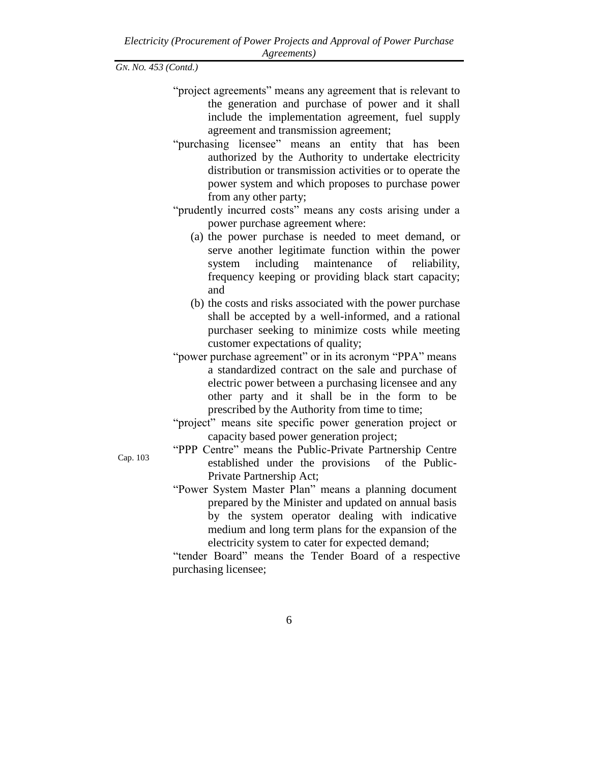- "project agreements" means any agreement that is relevant to the generation and purchase of power and it shall include the implementation agreement, fuel supply agreement and transmission agreement;
- "purchasing licensee" means an entity that has been authorized by the Authority to undertake electricity distribution or transmission activities or to operate the power system and which proposes to purchase power from any other party;
- "prudently incurred costs" means any costs arising under a power purchase agreement where:
	- (a) the power purchase is needed to meet demand, or serve another legitimate function within the power system including maintenance of reliability, frequency keeping or providing black start capacity; and
	- (b) the costs and risks associated with the power purchase shall be accepted by a well-informed, and a rational purchaser seeking to minimize costs while meeting customer expectations of quality;
- "power purchase agreement" or in its acronym "PPA" means a standardized contract on the sale and purchase of electric power between a purchasing licensee and any other party and it shall be in the form to be prescribed by the Authority from time to time;
- "project" means site specific power generation project or capacity based power generation project;
- "PPP Centre" means the Public-Private Partnership Centre established under the provisions of the Public-Private Partnership Act;
- "Power System Master Plan" means a planning document prepared by the Minister and updated on annual basis by the system operator dealing with indicative medium and long term plans for the expansion of the electricity system to cater for expected demand;

"tender Board" means the Tender Board of a respective purchasing licensee;

Cap. 103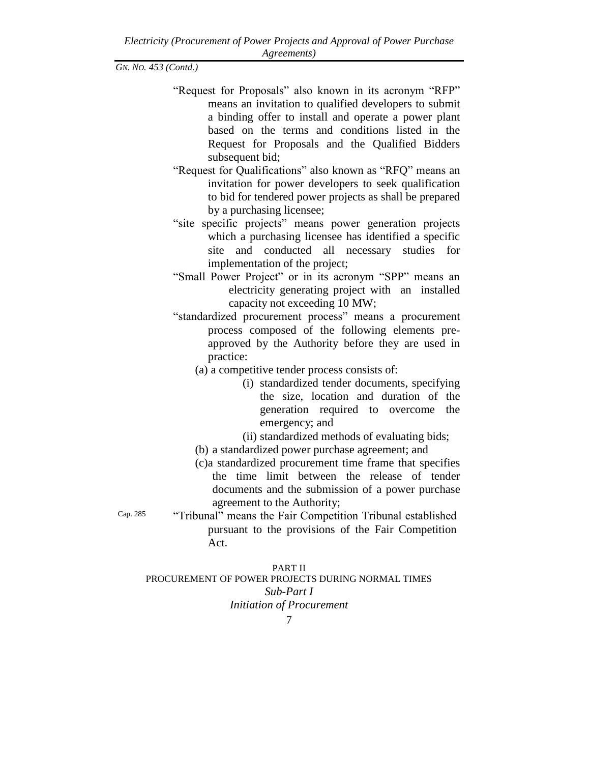- "Request for Proposals" also known in its acronym "RFP" means an invitation to qualified developers to submit a binding offer to install and operate a power plant based on the terms and conditions listed in the Request for Proposals and the Qualified Bidders subsequent bid;
- "Request for Qualifications" also known as "RFQ" means an invitation for power developers to seek qualification to bid for tendered power projects as shall be prepared by a purchasing licensee;
- "site specific projects" means power generation projects which a purchasing licensee has identified a specific site and conducted all necessary studies for implementation of the project;
- "Small Power Project" or in its acronym "SPP" means an electricity generating project with an installed capacity not exceeding 10 MW;
- "standardized procurement process" means a procurement process composed of the following elements preapproved by the Authority before they are used in practice:
	- (a) a competitive tender process consists of:
		- (i) standardized tender documents, specifying the size, location and duration of the generation required to overcome the emergency; and
		- (ii) standardized methods of evaluating bids;
	- (b) a standardized power purchase agreement; and
	- (c)a standardized procurement time frame that specifies the time limit between the release of tender documents and the submission of a power purchase agreement to the Authority;

Cap. 285 "Tribunal" means the Fair Competition Tribunal established pursuant to the provisions of the Fair Competition Act.

PART II PROCUREMENT OF POWER PROJECTS DURING NORMAL TIMES *Sub-Part I Initiation of Procurement*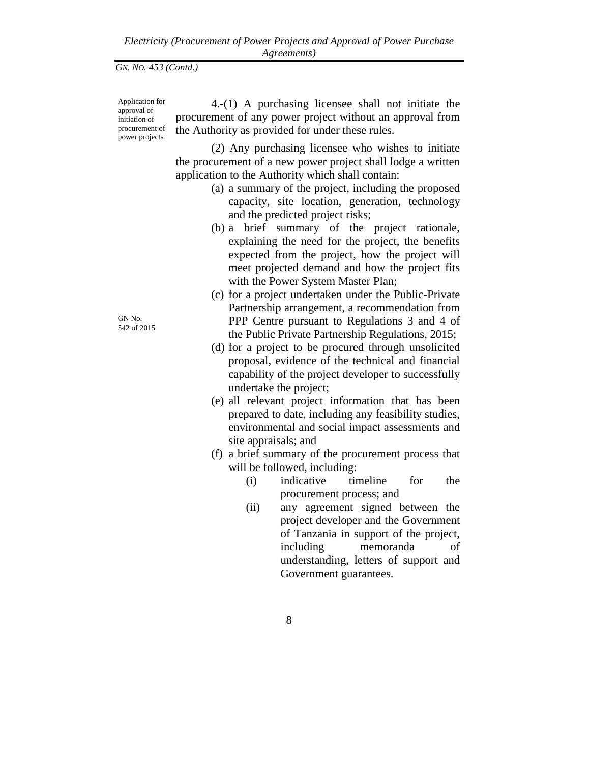Application for approval of initiation of procurement of power projects

4.-(1) A purchasing licensee shall not initiate the procurement of any power project without an approval from the Authority as provided for under these rules.

(2) Any purchasing licensee who wishes to initiate the procurement of a new power project shall lodge a written application to the Authority which shall contain:

- (a) a summary of the project, including the proposed capacity, site location, generation, technology and the predicted project risks;
- (b) a brief summary of the project rationale, explaining the need for the project, the benefits expected from the project, how the project will meet projected demand and how the project fits with the Power System Master Plan;
- (c) for a project undertaken under the Public-Private Partnership arrangement, a recommendation from PPP Centre pursuant to Regulations 3 and 4 of the Public Private Partnership Regulations, 2015;
- (d) for a project to be procured through unsolicited proposal, evidence of the technical and financial capability of the project developer to successfully undertake the project;
- (e) all relevant project information that has been prepared to date, including any feasibility studies, environmental and social impact assessments and site appraisals; and
- (f) a brief summary of the procurement process that will be followed, including:
	- (i) indicative timeline for the procurement process; and
	- (ii) any agreement signed between the project developer and the Government of Tanzania in support of the project, including memoranda of understanding, letters of support and Government guarantees.

GN No. 542 of 2015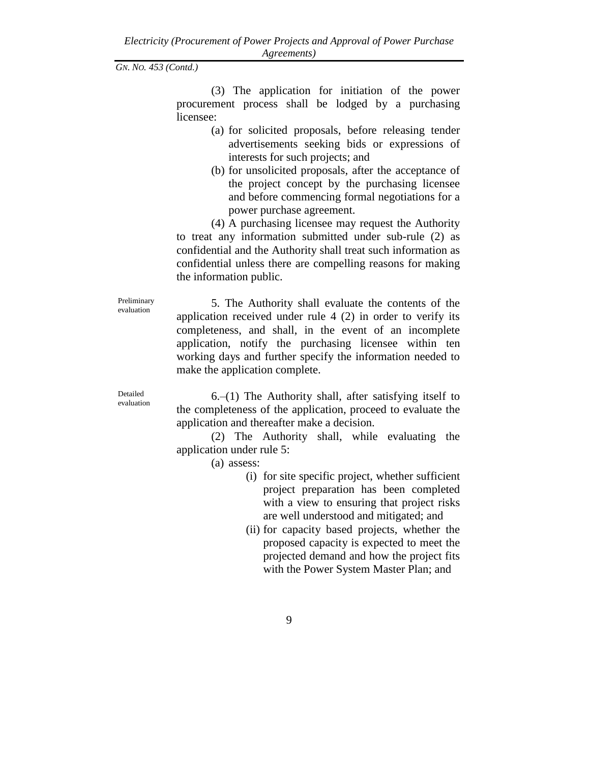(3) The application for initiation of the power procurement process shall be lodged by a purchasing licensee:

- (a) for solicited proposals, before releasing tender advertisements seeking bids or expressions of interests for such projects; and
- (b) for unsolicited proposals, after the acceptance of the project concept by the purchasing licensee and before commencing formal negotiations for a power purchase agreement.

(4) A purchasing licensee may request the Authority to treat any information submitted under sub-rule (2) as confidential and the Authority shall treat such information as confidential unless there are compelling reasons for making the information public.

Preliminary evaluation

5. The Authority shall evaluate the contents of the application received under rule 4 (2) in order to verify its completeness, and shall, in the event of an incomplete application, notify the purchasing licensee within ten working days and further specify the information needed to make the application complete.

Detailed evaluation

 $6-(1)$  The Authority shall, after satisfying itself to the completeness of the application, proceed to evaluate the application and thereafter make a decision.

(2) The Authority shall, while evaluating the application under rule 5:

(a) assess:

- (i) for site specific project, whether sufficient project preparation has been completed with a view to ensuring that project risks are well understood and mitigated; and
- (ii) for capacity based projects, whether the proposed capacity is expected to meet the projected demand and how the project fits with the Power System Master Plan; and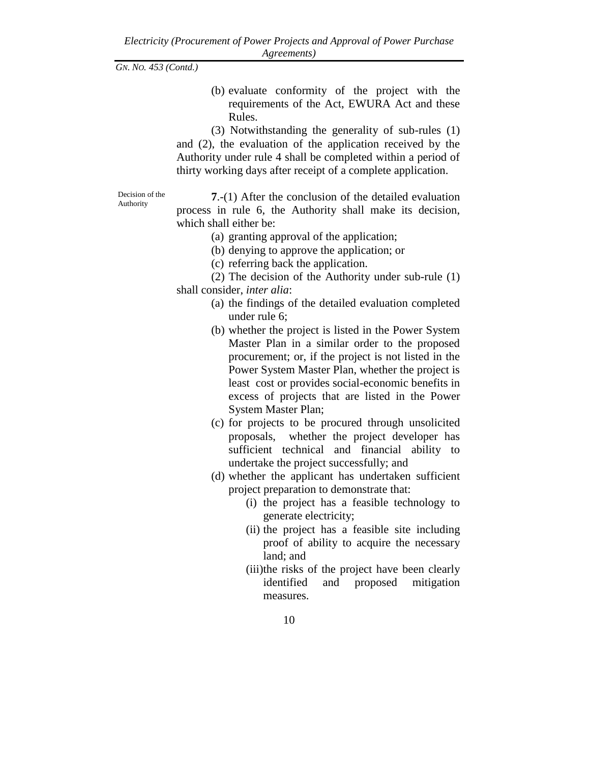(b) evaluate conformity of the project with the requirements of the Act, EWURA Act and these Rules.

(3) Notwithstanding the generality of sub-rules (1) and (2), the evaluation of the application received by the Authority under rule 4 shall be completed within a period of thirty working days after receipt of a complete application.

Decision of the Authority

**7**.-(1) After the conclusion of the detailed evaluation process in rule 6, the Authority shall make its decision, which shall either be:

- (a) granting approval of the application;
- (b) denying to approve the application; or
- (c) referring back the application.

(2) The decision of the Authority under sub-rule (1) shall consider, *inter alia*:

- (a) the findings of the detailed evaluation completed under rule 6;
- (b) whether the project is listed in the Power System Master Plan in a similar order to the proposed procurement; or, if the project is not listed in the Power System Master Plan, whether the project is least cost or provides social-economic benefits in excess of projects that are listed in the Power System Master Plan;
- (c) for projects to be procured through unsolicited proposals, whether the project developer has sufficient technical and financial ability to undertake the project successfully; and
- (d) whether the applicant has undertaken sufficient project preparation to demonstrate that:
	- (i) the project has a feasible technology to generate electricity;
	- (ii) the project has a feasible site including proof of ability to acquire the necessary land; and
	- (iii)the risks of the project have been clearly identified and proposed mitigation measures.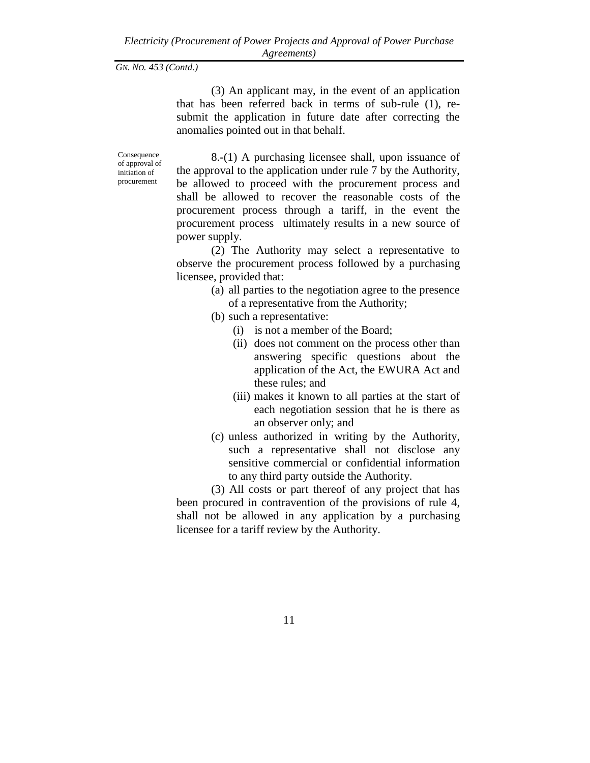(3) An applicant may, in the event of an application that has been referred back in terms of sub-rule (1), resubmit the application in future date after correcting the anomalies pointed out in that behalf.

Consequence of approval of initiation of procurement

8.**-**(1) A purchasing licensee shall, upon issuance of the approval to the application under rule 7 by the Authority, be allowed to proceed with the procurement process and shall be allowed to recover the reasonable costs of the procurement process through a tariff, in the event the procurement process ultimately results in a new source of power supply.

(2) The Authority may select a representative to observe the procurement process followed by a purchasing licensee, provided that:

> (a) all parties to the negotiation agree to the presence of a representative from the Authority;

(b) such a representative:

- (i) is not a member of the Board;
- (ii) does not comment on the process other than answering specific questions about the application of the Act, the EWURA Act and these rules; and
- (iii) makes it known to all parties at the start of each negotiation session that he is there as an observer only; and
- (c) unless authorized in writing by the Authority, such a representative shall not disclose any sensitive commercial or confidential information to any third party outside the Authority.

(3) All costs or part thereof of any project that has been procured in contravention of the provisions of rule 4, shall not be allowed in any application by a purchasing licensee for a tariff review by the Authority.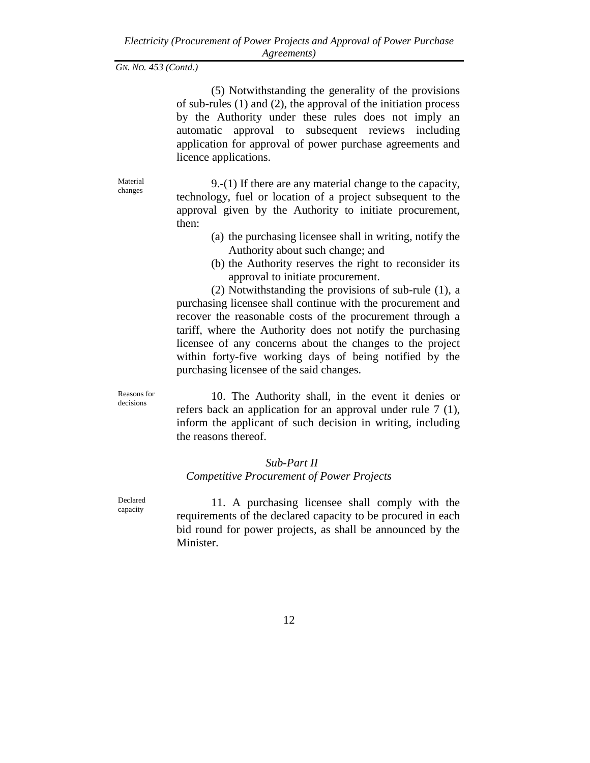(5) Notwithstanding the generality of the provisions of sub-rules (1) and (2), the approval of the initiation process by the Authority under these rules does not imply an automatic approval to subsequent reviews including application for approval of power purchase agreements and licence applications.

Material changes

9.-(1) If there are any material change to the capacity, technology, fuel or location of a project subsequent to the approval given by the Authority to initiate procurement, then:

- (a) the purchasing licensee shall in writing, notify the Authority about such change; and
- (b) the Authority reserves the right to reconsider its approval to initiate procurement.

(2) Notwithstanding the provisions of sub-rule (1), a purchasing licensee shall continue with the procurement and recover the reasonable costs of the procurement through a tariff, where the Authority does not notify the purchasing licensee of any concerns about the changes to the project within forty-five working days of being notified by the purchasing licensee of the said changes.

Reasons for decisions

10. The Authority shall, in the event it denies or refers back an application for an approval under rule 7 (1), inform the applicant of such decision in writing, including the reasons thereof.

# *Sub-Part II Competitive Procurement of Power Projects*

Declared capacity

11. A purchasing licensee shall comply with the requirements of the declared capacity to be procured in each bid round for power projects, as shall be announced by the Minister.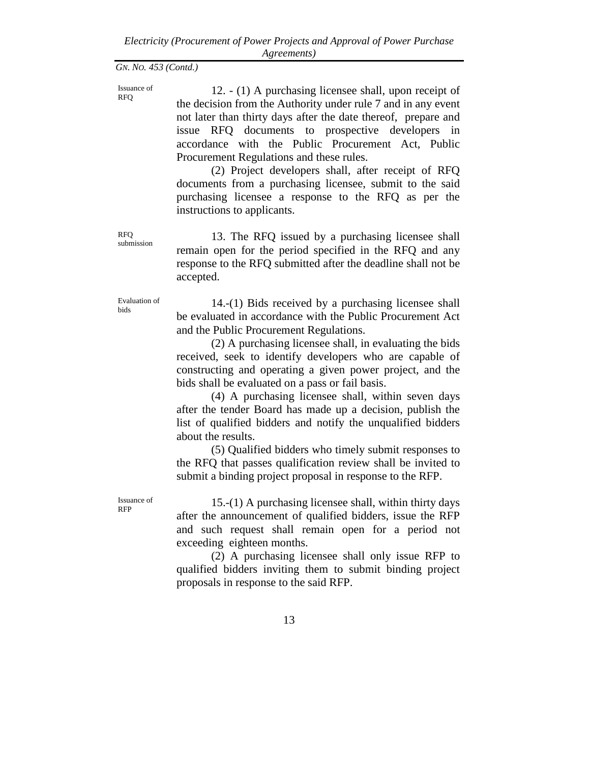Issuance of RFQ

12. - (1) A purchasing licensee shall, upon receipt of the decision from the Authority under rule 7 and in any event not later than thirty days after the date thereof, prepare and issue RFQ documents to prospective developers in accordance with the Public Procurement Act, Public Procurement Regulations and these rules.

(2) Project developers shall, after receipt of RFQ documents from a purchasing licensee, submit to the said purchasing licensee a response to the RFQ as per the instructions to applicants.

13. The RFQ issued by a purchasing licensee shall remain open for the period specified in the RFQ and any response to the RFQ submitted after the deadline shall not be accepted.

Evaluation of bids

RFQ submission

> 14.-(1) Bids received by a purchasing licensee shall be evaluated in accordance with the Public Procurement Act and the Public Procurement Regulations.

> (2) A purchasing licensee shall, in evaluating the bids received, seek to identify developers who are capable of constructing and operating a given power project, and the bids shall be evaluated on a pass or fail basis.

> (4) A purchasing licensee shall, within seven days after the tender Board has made up a decision, publish the list of qualified bidders and notify the unqualified bidders about the results.

> (5) Qualified bidders who timely submit responses to the RFQ that passes qualification review shall be invited to submit a binding project proposal in response to the RFP.

Issuance of RFP

15.-(1) A purchasing licensee shall, within thirty days after the announcement of qualified bidders, issue the RFP and such request shall remain open for a period not exceeding eighteen months.

(2) A purchasing licensee shall only issue RFP to qualified bidders inviting them to submit binding project proposals in response to the said RFP.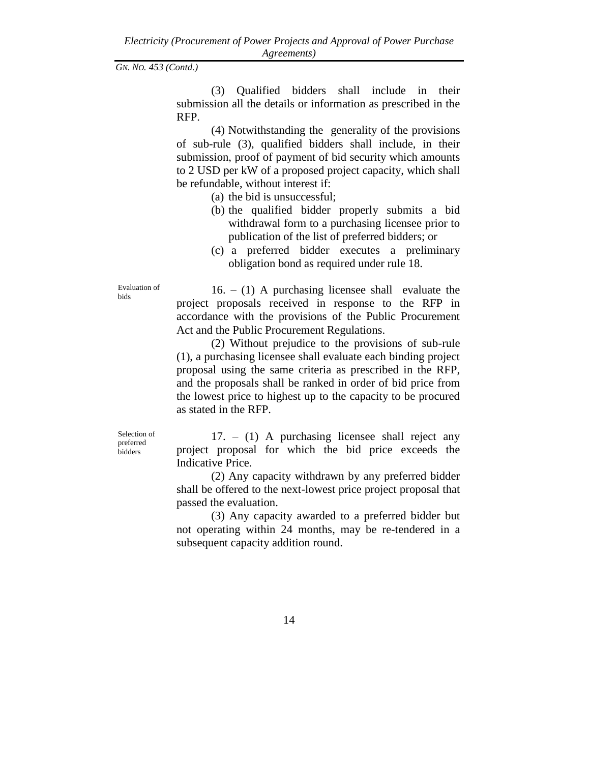(3) Qualified bidders shall include in their submission all the details or information as prescribed in the RFP.

(4) Notwithstanding the generality of the provisions of sub-rule (3), qualified bidders shall include, in their submission, proof of payment of bid security which amounts to 2 USD per kW of a proposed project capacity, which shall be refundable, without interest if:

- (a) the bid is unsuccessful;
- (b) the qualified bidder properly submits a bid withdrawal form to a purchasing licensee prior to publication of the list of preferred bidders; or
- (c) a preferred bidder executes a preliminary obligation bond as required under rule 18.

Evaluation of bids

 $16. - (1)$  A purchasing licensee shall evaluate the project proposals received in response to the RFP in accordance with the provisions of the Public Procurement Act and the Public Procurement Regulations.

(2) Without prejudice to the provisions of sub-rule (1), a purchasing licensee shall evaluate each binding project proposal using the same criteria as prescribed in the RFP, and the proposals shall be ranked in order of bid price from the lowest price to highest up to the capacity to be procured as stated in the RFP.

Selection of preferred bidders

17. – (1) A purchasing licensee shall reject any project proposal for which the bid price exceeds the Indicative Price.

(2) Any capacity withdrawn by any preferred bidder shall be offered to the next-lowest price project proposal that passed the evaluation.

(3) Any capacity awarded to a preferred bidder but not operating within 24 months, may be re-tendered in a subsequent capacity addition round.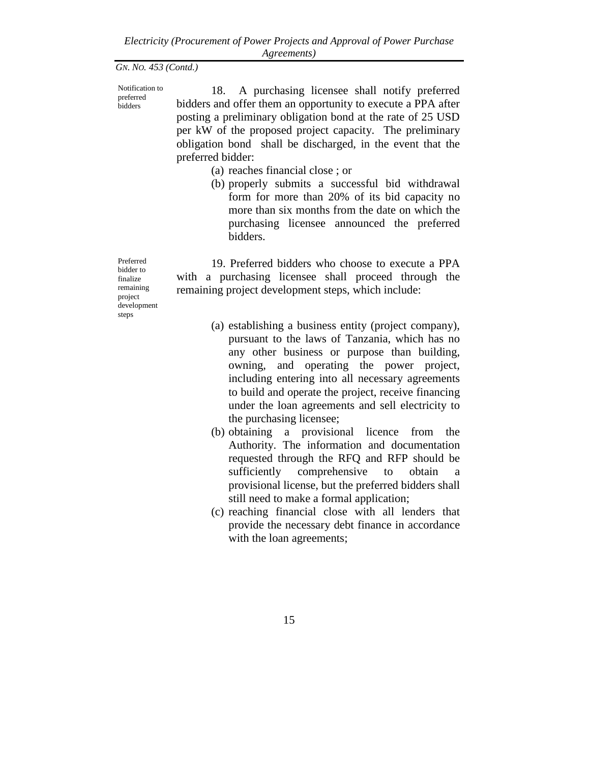preferred bidders

Notification to 18. A purchasing licensee shall notify preferred bidders and offer them an opportunity to execute a PPA after

posting a preliminary obligation bond at the rate of 25 USD per kW of the proposed project capacity. The preliminary obligation bond shall be discharged, in the event that the preferred bidder:

- (a) reaches financial close ; or
- (b) properly submits a successful bid withdrawal form for more than 20% of its bid capacity no more than six months from the date on which the purchasing licensee announced the preferred bidders.

19. Preferred bidders who choose to execute a PPA with a purchasing licensee shall proceed through the remaining project development steps, which include:

- (a) establishing a business entity (project company), pursuant to the laws of Tanzania, which has no any other business or purpose than building, owning, and operating the power project, including entering into all necessary agreements to build and operate the project, receive financing under the loan agreements and sell electricity to the purchasing licensee;
- (b) obtaining a provisional licence from the Authority. The information and documentation requested through the RFQ and RFP should be sufficiently comprehensive to obtain a provisional license, but the preferred bidders shall still need to make a formal application;
- (c) reaching financial close with all lenders that provide the necessary debt finance in accordance with the loan agreements;

Preferred bidder to finalize remaining project development steps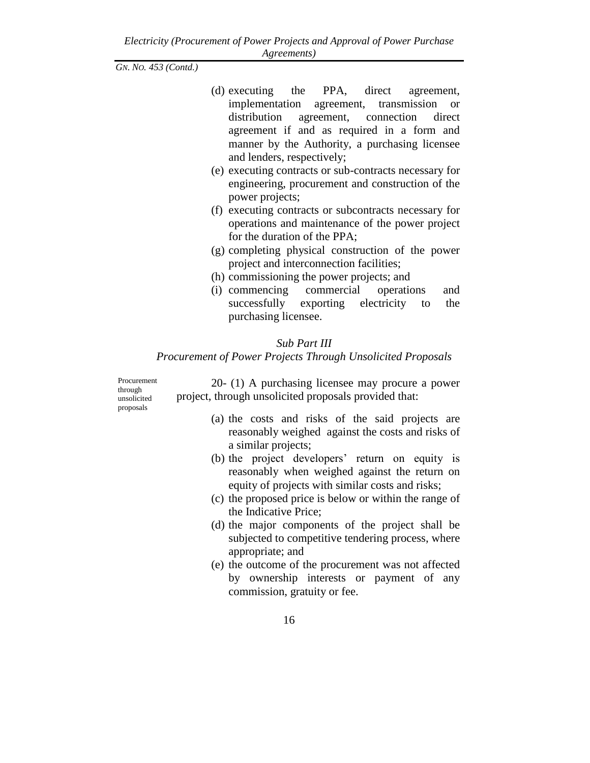- (d) executing the PPA, direct agreement, implementation agreement, transmission or distribution agreement, connection direct agreement if and as required in a form and manner by the Authority, a purchasing licensee and lenders, respectively;
- (e) executing contracts or sub-contracts necessary for engineering, procurement and construction of the power projects;
- (f) executing contracts or subcontracts necessary for operations and maintenance of the power project for the duration of the PPA;
- (g) completing physical construction of the power project and interconnection facilities;
- (h) commissioning the power projects; and
- (i) commencing commercial operations and successfully exporting electricity to the purchasing licensee.

# *Sub Part III*

# *Procurement of Power Projects Through Unsolicited Proposals*

Procurement through unsolicited proposals

20- (1) A purchasing licensee may procure a power project, through unsolicited proposals provided that:

- (a) the costs and risks of the said projects are reasonably weighed against the costs and risks of a similar projects;
- (b) the project developers' return on equity is reasonably when weighed against the return on equity of projects with similar costs and risks;
- (c) the proposed price is below or within the range of the Indicative Price;
- (d) the major components of the project shall be subjected to competitive tendering process, where appropriate; and
- (e) the outcome of the procurement was not affected by ownership interests or payment of any commission, gratuity or fee.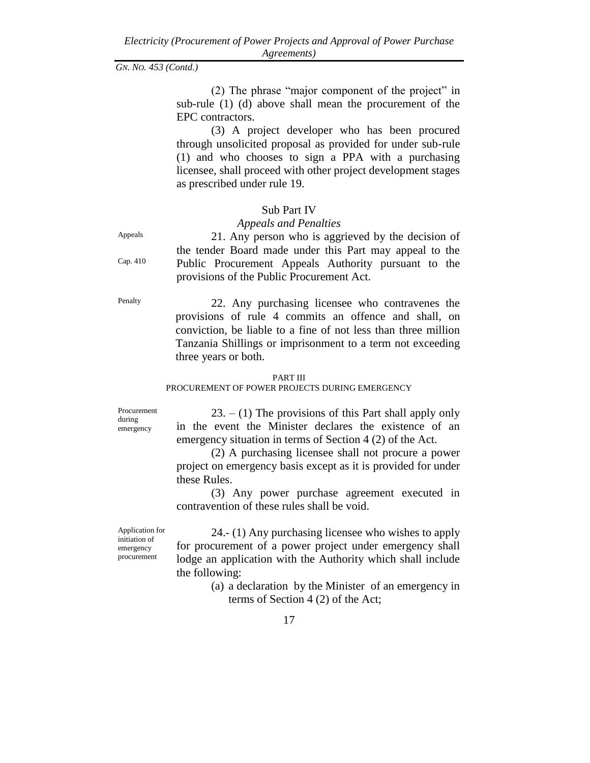(2) The phrase "major component of the project" in sub-rule (1) (d) above shall mean the procurement of the EPC contractors.

(3) A project developer who has been procured through unsolicited proposal as provided for under sub-rule (1) and who chooses to sign a PPA with a purchasing licensee, shall proceed with other project development stages as prescribed under rule 19.

### Sub Part IV

# *Appeals and Penalties*

21. Any person who is aggrieved by the decision of the tender Board made under this Part may appeal to the Public Procurement Appeals Authority pursuant to the provisions of the Public Procurement Act.

Penalty 22. Any purchasing licensee who contravenes the provisions of rule 4 commits an offence and shall, on conviction, be liable to a fine of not less than three million Tanzania Shillings or imprisonment to a term not exceeding three years or both.

#### PART III

PROCUREMENT OF POWER PROJECTS DURING EMERGENCY

Procurement during emergency

 $23. - (1)$  The provisions of this Part shall apply only in the event the Minister declares the existence of an emergency situation in terms of Section 4 (2) of the Act.

(2) A purchasing licensee shall not procure a power project on emergency basis except as it is provided for under these Rules.

(3) Any power purchase agreement executed in contravention of these rules shall be void.

Application for initiation of emergency procurement

24.- (1) Any purchasing licensee who wishes to apply for procurement of a power project under emergency shall lodge an application with the Authority which shall include the following:

> (a) a declaration by the Minister of an emergency in terms of Section 4 (2) of the Act;

Appeals

Cap. 410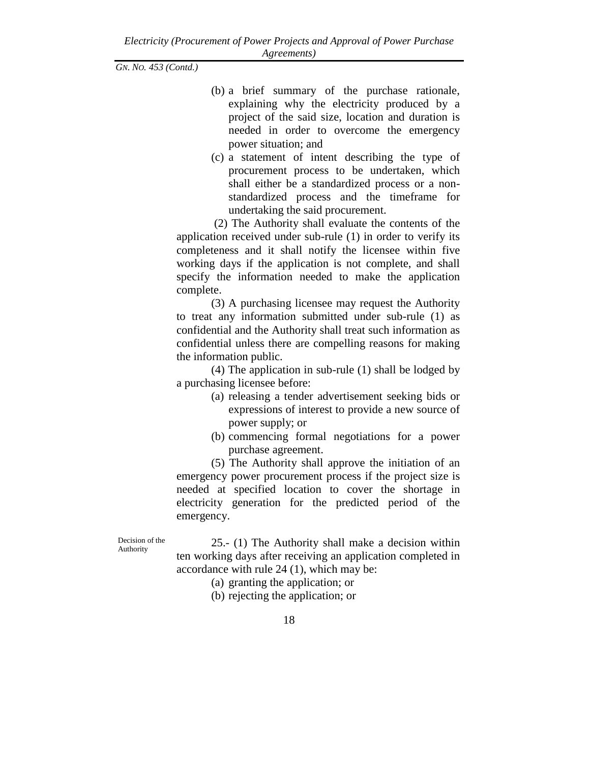- (b) a brief summary of the purchase rationale, explaining why the electricity produced by a project of the said size, location and duration is needed in order to overcome the emergency power situation; and
- (c) a statement of intent describing the type of procurement process to be undertaken, which shall either be a standardized process or a nonstandardized process and the timeframe for undertaking the said procurement.

(2) The Authority shall evaluate the contents of the application received under sub-rule (1) in order to verify its completeness and it shall notify the licensee within five working days if the application is not complete, and shall specify the information needed to make the application complete.

(3) A purchasing licensee may request the Authority to treat any information submitted under sub-rule (1) as confidential and the Authority shall treat such information as confidential unless there are compelling reasons for making the information public.

(4) The application in sub-rule (1) shall be lodged by a purchasing licensee before:

- (a) releasing a tender advertisement seeking bids or expressions of interest to provide a new source of power supply; or
- (b) commencing formal negotiations for a power purchase agreement.

(5) The Authority shall approve the initiation of an emergency power procurement process if the project size is needed at specified location to cover the shortage in electricity generation for the predicted period of the emergency.

Decision of the Authority

25.- (1) The Authority shall make a decision within ten working days after receiving an application completed in accordance with rule 24 (1), which may be:

- (a) granting the application; or
- (b) rejecting the application; or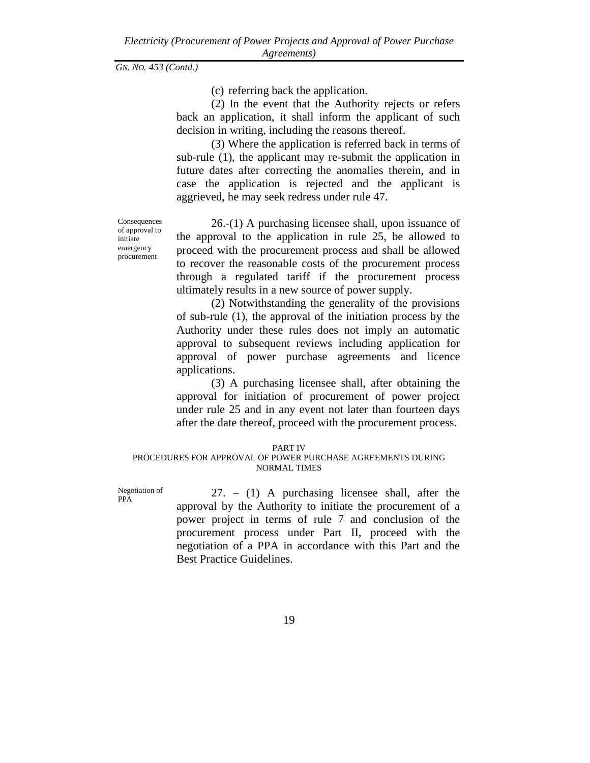(c) referring back the application.

(2) In the event that the Authority rejects or refers back an application, it shall inform the applicant of such decision in writing, including the reasons thereof.

(3) Where the application is referred back in terms of sub-rule (1), the applicant may re-submit the application in future dates after correcting the anomalies therein, and in case the application is rejected and the applicant is aggrieved, he may seek redress under rule 47.

Consequences of approval to initiate emergency procurement

26.-(1) A purchasing licensee shall, upon issuance of the approval to the application in rule 25, be allowed to proceed with the procurement process and shall be allowed to recover the reasonable costs of the procurement process through a regulated tariff if the procurement process ultimately results in a new source of power supply.

(2) Notwithstanding the generality of the provisions of sub-rule (1), the approval of the initiation process by the Authority under these rules does not imply an automatic approval to subsequent reviews including application for approval of power purchase agreements and licence applications.

(3) A purchasing licensee shall, after obtaining the approval for initiation of procurement of power project under rule 25 and in any event not later than fourteen days after the date thereof, proceed with the procurement process.

#### PART IV

#### PROCEDURES FOR APPROVAL OF POWER PURCHASE AGREEMENTS DURING NORMAL TIMES

Negotiation of PPA

27. – (1) A purchasing licensee shall, after the approval by the Authority to initiate the procurement of a power project in terms of rule 7 and conclusion of the procurement process under Part II, proceed with the negotiation of a PPA in accordance with this Part and the Best Practice Guidelines.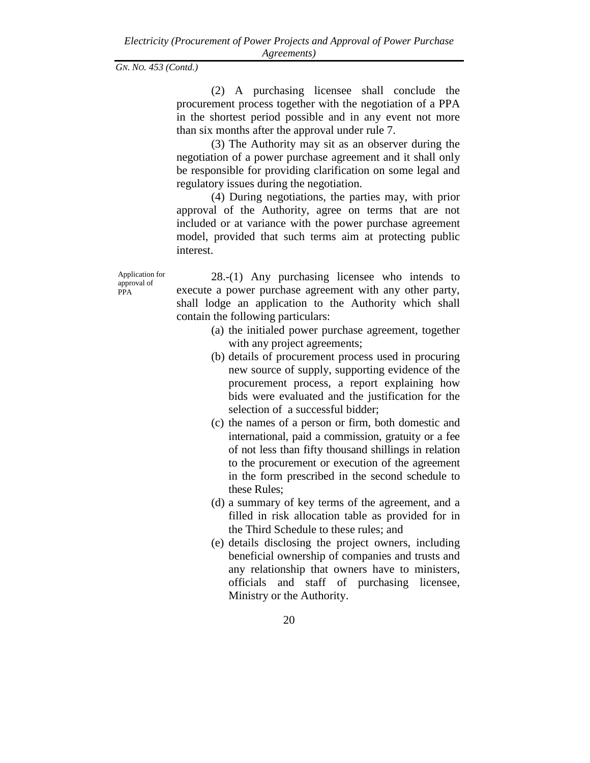(2) A purchasing licensee shall conclude the procurement process together with the negotiation of a PPA in the shortest period possible and in any event not more than six months after the approval under rule 7.

(3) The Authority may sit as an observer during the negotiation of a power purchase agreement and it shall only be responsible for providing clarification on some legal and regulatory issues during the negotiation.

(4) During negotiations, the parties may, with prior approval of the Authority, agree on terms that are not included or at variance with the power purchase agreement model, provided that such terms aim at protecting public interest.

Application for approval of PPA

28.-(1) Any purchasing licensee who intends to execute a power purchase agreement with any other party, shall lodge an application to the Authority which shall contain the following particulars:

- (a) the initialed power purchase agreement, together with any project agreements;
- (b) details of procurement process used in procuring new source of supply, supporting evidence of the procurement process, a report explaining how bids were evaluated and the justification for the selection of a successful bidder;
- (c) the names of a person or firm, both domestic and international, paid a commission, gratuity or a fee of not less than fifty thousand shillings in relation to the procurement or execution of the agreement in the form prescribed in the second schedule to these Rules;
- (d) a summary of key terms of the agreement, and a filled in risk allocation table as provided for in the Third Schedule to these rules; and
- (e) details disclosing the project owners, including beneficial ownership of companies and trusts and any relationship that owners have to ministers, officials and staff of purchasing licensee, Ministry or the Authority.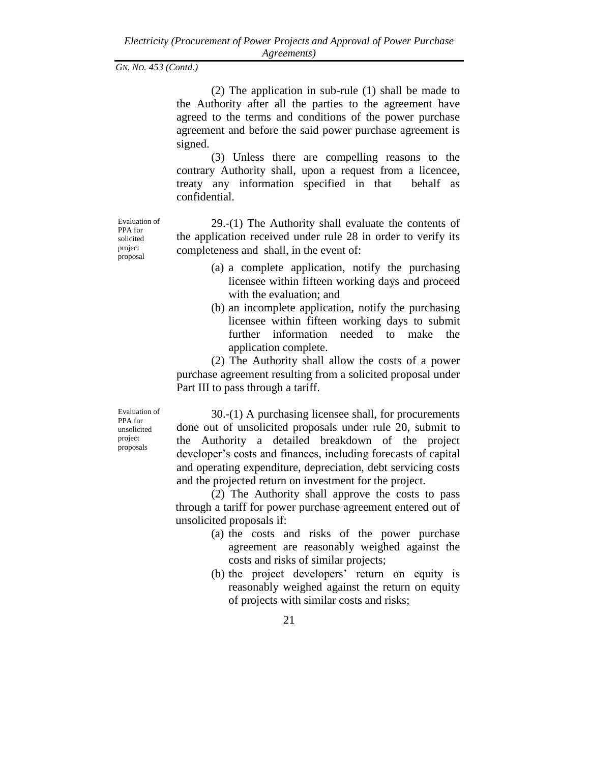(2) The application in sub-rule (1) shall be made to the Authority after all the parties to the agreement have agreed to the terms and conditions of the power purchase agreement and before the said power purchase agreement is signed.

(3) Unless there are compelling reasons to the contrary Authority shall, upon a request from a licencee, treaty any information specified in that behalf as confidential.

29.-(1) The Authority shall evaluate the contents of the application received under rule 28 in order to verify its completeness and shall, in the event of:

- (a) a complete application, notify the purchasing licensee within fifteen working days and proceed with the evaluation; and
- (b) an incomplete application, notify the purchasing licensee within fifteen working days to submit further information needed to make the application complete.

(2) The Authority shall allow the costs of a power purchase agreement resulting from a solicited proposal under Part III to pass through a tariff.

Evaluation of 30.-(1) A purchasing licensee shall, for procurements done out of unsolicited proposals under rule 20, submit to the Authority a detailed breakdown of the project developer's costs and finances, including forecasts of capital and operating expenditure, depreciation, debt servicing costs and the projected return on investment for the project.

> (2) The Authority shall approve the costs to pass through a tariff for power purchase agreement entered out of unsolicited proposals if:

- (a) the costs and risks of the power purchase agreement are reasonably weighed against the costs and risks of similar projects;
- (b) the project developers' return on equity is reasonably weighed against the return on equity of projects with similar costs and risks;

Evaluation of PPA for solicited project proposal

PPA for unsolicited project proposals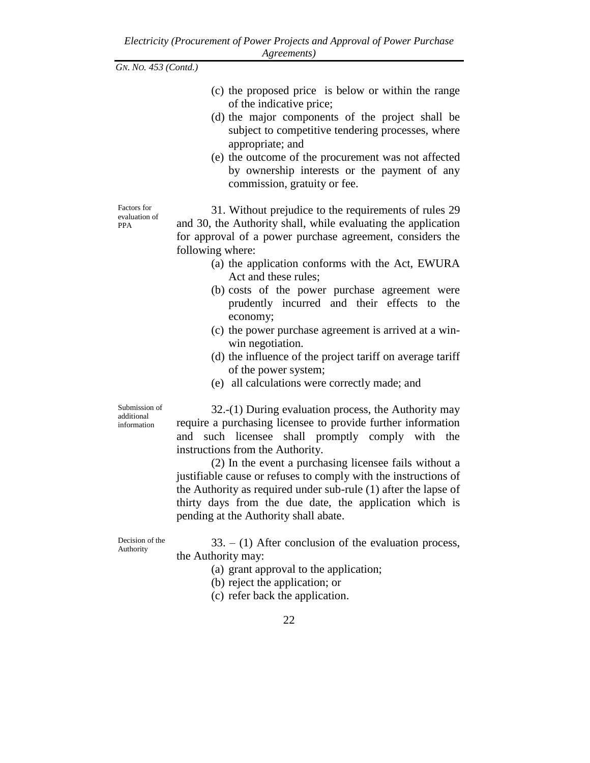- (c) the proposed price is below or within the range of the indicative price;
- (d) the major components of the project shall be subject to competitive tendering processes, where appropriate; and
- (e) the outcome of the procurement was not affected by ownership interests or the payment of any commission, gratuity or fee.

Factors for evaluation of PPA

31. Without prejudice to the requirements of rules 29 and 30, the Authority shall, while evaluating the application for approval of a power purchase agreement, considers the following where:

- (a) the application conforms with the Act, EWURA Act and these rules;
- (b) costs of the power purchase agreement were prudently incurred and their effects to the economy;
- (c) the power purchase agreement is arrived at a winwin negotiation.
- (d) the influence of the project tariff on average tariff of the power system;
- (e) all calculations were correctly made; and

Submission of additional information

32.-(1) During evaluation process, the Authority may require a purchasing licensee to provide further information and such licensee shall promptly comply with the instructions from the Authority.

(2) In the event a purchasing licensee fails without a justifiable cause or refuses to comply with the instructions of the Authority as required under sub-rule (1) after the lapse of thirty days from the due date, the application which is pending at the Authority shall abate.

Decision of the Authority

 $33. - (1)$  After conclusion of the evaluation process, the Authority may:

(a) grant approval to the application;

- (b) reject the application; or
- (c) refer back the application.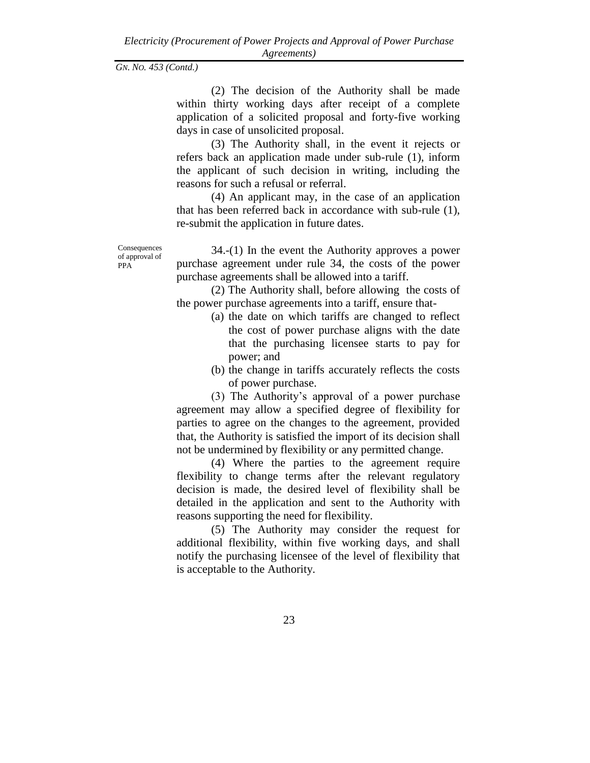(2) The decision of the Authority shall be made within thirty working days after receipt of a complete application of a solicited proposal and forty-five working days in case of unsolicited proposal.

(3) The Authority shall, in the event it rejects or refers back an application made under sub-rule (1), inform the applicant of such decision in writing, including the reasons for such a refusal or referral.

(4) An applicant may, in the case of an application that has been referred back in accordance with sub-rule (1), re-submit the application in future dates.

Consequences of approval of PPA<sup>1</sup>

34.-(1) In the event the Authority approves a power purchase agreement under rule 34, the costs of the power purchase agreements shall be allowed into a tariff.

(2) The Authority shall, before allowing the costs of the power purchase agreements into a tariff, ensure that-

- (a) the date on which tariffs are changed to reflect the cost of power purchase aligns with the date that the purchasing licensee starts to pay for power; and
- (b) the change in tariffs accurately reflects the costs of power purchase.

(3) The Authority's approval of a power purchase agreement may allow a specified degree of flexibility for parties to agree on the changes to the agreement, provided that, the Authority is satisfied the import of its decision shall not be undermined by flexibility or any permitted change.

(4) Where the parties to the agreement require flexibility to change terms after the relevant regulatory decision is made, the desired level of flexibility shall be detailed in the application and sent to the Authority with reasons supporting the need for flexibility.

(5) The Authority may consider the request for additional flexibility, within five working days, and shall notify the purchasing licensee of the level of flexibility that is acceptable to the Authority.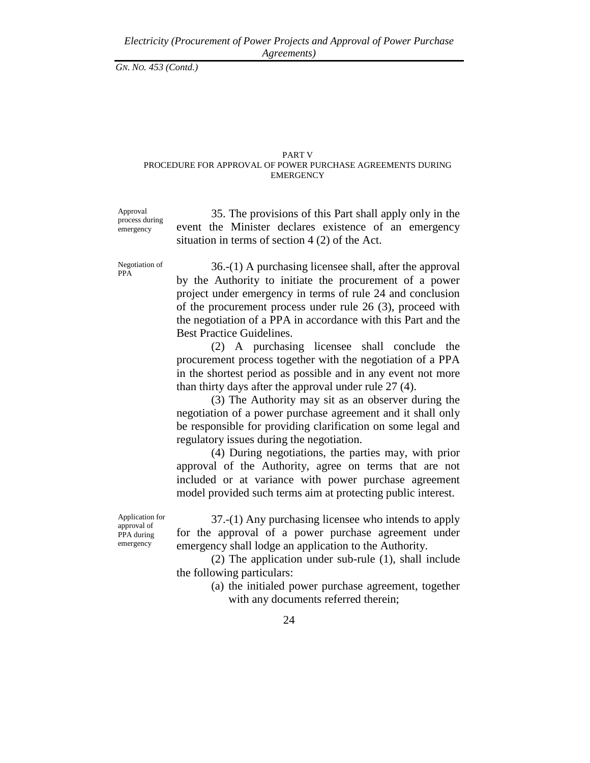# PART V

#### PROCEDURE FOR APPROVAL OF POWER PURCHASE AGREEMENTS DURING EMERGENCY

Approval process during emergency

35. The provisions of this Part shall apply only in the event the Minister declares existence of an emergency situation in terms of section 4 (2) of the Act.

Negotiation of PPA

36.-(1) A purchasing licensee shall, after the approval by the Authority to initiate the procurement of a power project under emergency in terms of rule 24 and conclusion of the procurement process under rule 26 (3), proceed with the negotiation of a PPA in accordance with this Part and the Best Practice Guidelines.

(2) A purchasing licensee shall conclude the procurement process together with the negotiation of a PPA in the shortest period as possible and in any event not more than thirty days after the approval under rule 27 (4).

(3) The Authority may sit as an observer during the negotiation of a power purchase agreement and it shall only be responsible for providing clarification on some legal and regulatory issues during the negotiation.

(4) During negotiations, the parties may, with prior approval of the Authority, agree on terms that are not included or at variance with power purchase agreement model provided such terms aim at protecting public interest.

Application for approval of PPA during emergency

37.-(1) Any purchasing licensee who intends to apply for the approval of a power purchase agreement under emergency shall lodge an application to the Authority.

(2) The application under sub-rule (1), shall include the following particulars:

> (a) the initialed power purchase agreement, together with any documents referred therein;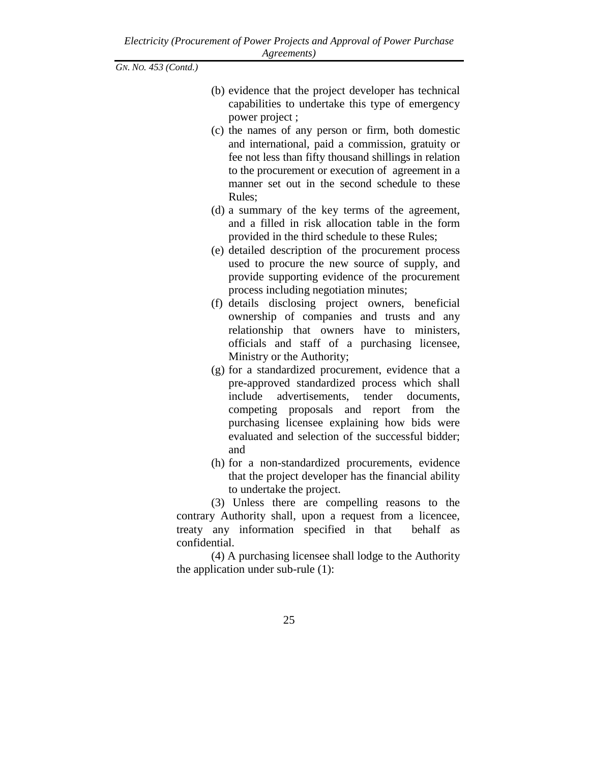- (b) evidence that the project developer has technical capabilities to undertake this type of emergency power project ;
- (c) the names of any person or firm, both domestic and international, paid a commission, gratuity or fee not less than fifty thousand shillings in relation to the procurement or execution of agreement in a manner set out in the second schedule to these Rules;
- (d) a summary of the key terms of the agreement, and a filled in risk allocation table in the form provided in the third schedule to these Rules;
- (e) detailed description of the procurement process used to procure the new source of supply, and provide supporting evidence of the procurement process including negotiation minutes;
- (f) details disclosing project owners, beneficial ownership of companies and trusts and any relationship that owners have to ministers, officials and staff of a purchasing licensee, Ministry or the Authority;
- (g) for a standardized procurement, evidence that a pre-approved standardized process which shall include advertisements, tender documents, competing proposals and report from the purchasing licensee explaining how bids were evaluated and selection of the successful bidder; and
- (h) for a non-standardized procurements, evidence that the project developer has the financial ability to undertake the project.

(3) Unless there are compelling reasons to the contrary Authority shall, upon a request from a licencee, treaty any information specified in that behalf as confidential.

(4) A purchasing licensee shall lodge to the Authority the application under sub-rule (1):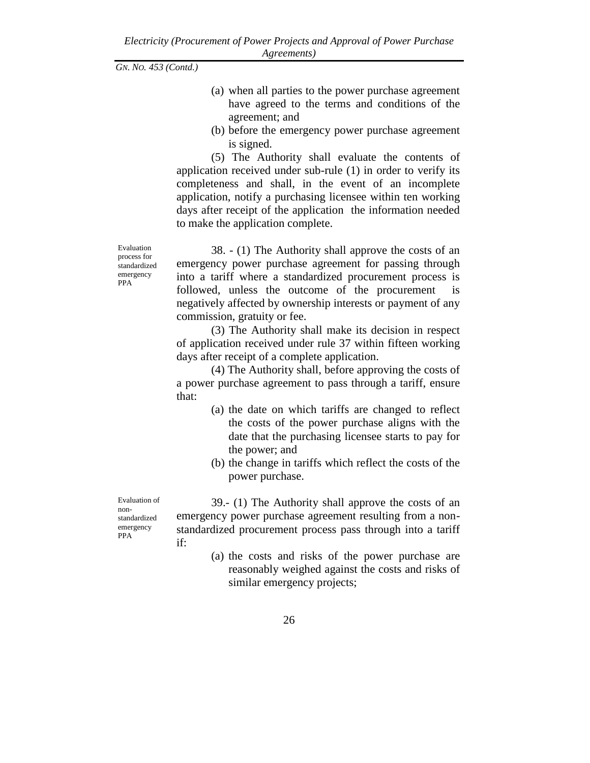- (a) when all parties to the power purchase agreement have agreed to the terms and conditions of the agreement; and
- (b) before the emergency power purchase agreement is signed.

(5) The Authority shall evaluate the contents of application received under sub-rule (1) in order to verify its completeness and shall, in the event of an incomplete application, notify a purchasing licensee within ten working days after receipt of the application the information needed to make the application complete.

Evaluation process for standardized emergency PPA

38. - (1) The Authority shall approve the costs of an emergency power purchase agreement for passing through into a tariff where a standardized procurement process is followed, unless the outcome of the procurement is negatively affected by ownership interests or payment of any commission, gratuity or fee.

(3) The Authority shall make its decision in respect of application received under rule 37 within fifteen working days after receipt of a complete application.

(4) The Authority shall, before approving the costs of a power purchase agreement to pass through a tariff, ensure that:

- (a) the date on which tariffs are changed to reflect the costs of the power purchase aligns with the date that the purchasing licensee starts to pay for the power; and
- (b) the change in tariffs which reflect the costs of the power purchase.

Evaluation of nonstandardized emergency PPA

39.- (1) The Authority shall approve the costs of an emergency power purchase agreement resulting from a nonstandardized procurement process pass through into a tariff if:

> (a) the costs and risks of the power purchase are reasonably weighed against the costs and risks of similar emergency projects;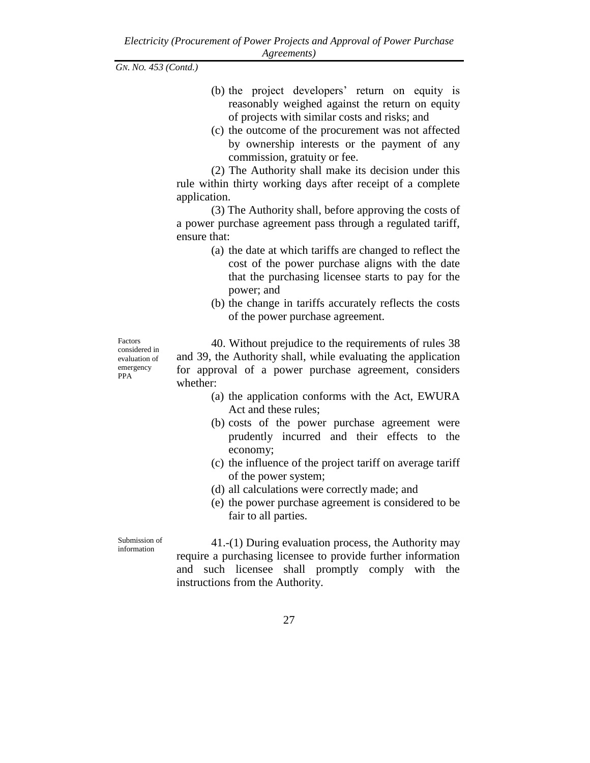- (b) the project developers' return on equity is reasonably weighed against the return on equity of projects with similar costs and risks; and
- (c) the outcome of the procurement was not affected by ownership interests or the payment of any commission, gratuity or fee.

(2) The Authority shall make its decision under this rule within thirty working days after receipt of a complete application.

(3) The Authority shall, before approving the costs of a power purchase agreement pass through a regulated tariff, ensure that:

- (a) the date at which tariffs are changed to reflect the cost of the power purchase aligns with the date that the purchasing licensee starts to pay for the power; and
- (b) the change in tariffs accurately reflects the costs of the power purchase agreement.

Factors considered in evaluation of emergency PPA

40. Without prejudice to the requirements of rules 38 and 39, the Authority shall, while evaluating the application for approval of a power purchase agreement, considers whether:

- (a) the application conforms with the Act, EWURA Act and these rules;
- (b) costs of the power purchase agreement were prudently incurred and their effects to the economy;
- (c) the influence of the project tariff on average tariff of the power system;
- (d) all calculations were correctly made; and
- (e) the power purchase agreement is considered to be fair to all parties.

Submission of information

41.-(1) During evaluation process, the Authority may require a purchasing licensee to provide further information and such licensee shall promptly comply with the instructions from the Authority.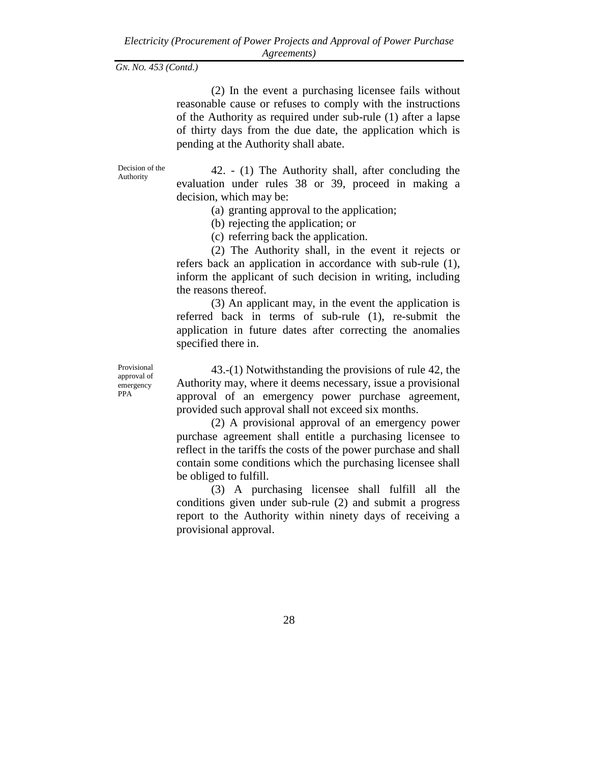(2) In the event a purchasing licensee fails without reasonable cause or refuses to comply with the instructions of the Authority as required under sub-rule (1) after a lapse of thirty days from the due date, the application which is pending at the Authority shall abate.

Decision of the Authority

42. - (1) The Authority shall, after concluding the evaluation under rules 38 or 39, proceed in making a decision, which may be:

(a) granting approval to the application;

(b) rejecting the application; or

(c) referring back the application.

(2) The Authority shall, in the event it rejects or refers back an application in accordance with sub-rule (1), inform the applicant of such decision in writing, including the reasons thereof.

(3) An applicant may, in the event the application is referred back in terms of sub-rule (1), re-submit the application in future dates after correcting the anomalies specified there in.

Provisional approval of emergency PPA

43.-(1) Notwithstanding the provisions of rule 42, the Authority may, where it deems necessary, issue a provisional approval of an emergency power purchase agreement, provided such approval shall not exceed six months.

(2) A provisional approval of an emergency power purchase agreement shall entitle a purchasing licensee to reflect in the tariffs the costs of the power purchase and shall contain some conditions which the purchasing licensee shall be obliged to fulfill.

(3) A purchasing licensee shall fulfill all the conditions given under sub-rule (2) and submit a progress report to the Authority within ninety days of receiving a provisional approval.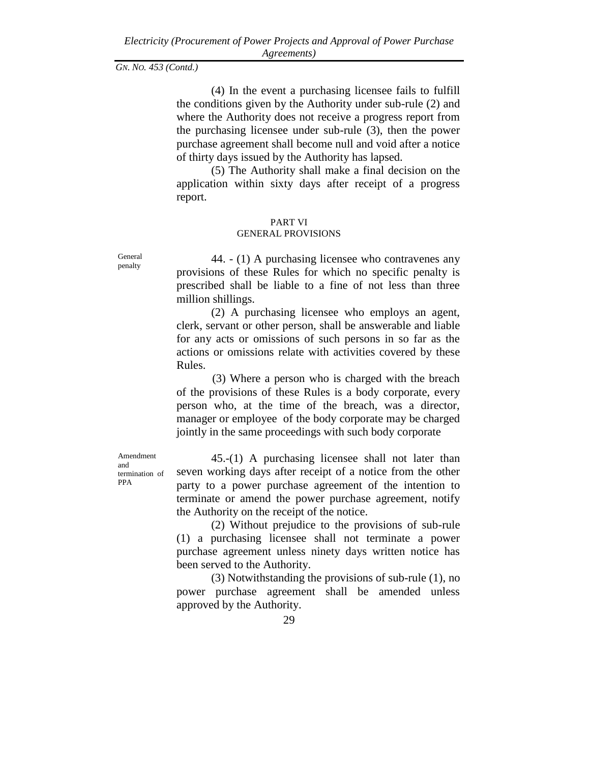(4) In the event a purchasing licensee fails to fulfill the conditions given by the Authority under sub-rule (2) and where the Authority does not receive a progress report from the purchasing licensee under sub-rule (3), then the power purchase agreement shall become null and void after a notice of thirty days issued by the Authority has lapsed.

(5) The Authority shall make a final decision on the application within sixty days after receipt of a progress report.

# PART VI

### GENERAL PROVISIONS

General penalty

44. - (1) A purchasing licensee who contravenes any provisions of these Rules for which no specific penalty is prescribed shall be liable to a fine of not less than three million shillings.

(2) A purchasing licensee who employs an agent, clerk, servant or other person, shall be answerable and liable for any acts or omissions of such persons in so far as the actions or omissions relate with activities covered by these Rules.

(3) Where a person who is charged with the breach of the provisions of these Rules is a body corporate, every person who, at the time of the breach, was a director, manager or employee of the body corporate may be charged jointly in the same proceedings with such body corporate

Amendment and termination of PPA

45.-(1) A purchasing licensee shall not later than seven working days after receipt of a notice from the other party to a power purchase agreement of the intention to terminate or amend the power purchase agreement, notify the Authority on the receipt of the notice.

(2) Without prejudice to the provisions of sub-rule (1) a purchasing licensee shall not terminate a power purchase agreement unless ninety days written notice has been served to the Authority.

(3) Notwithstanding the provisions of sub-rule (1), no power purchase agreement shall be amended unless approved by the Authority.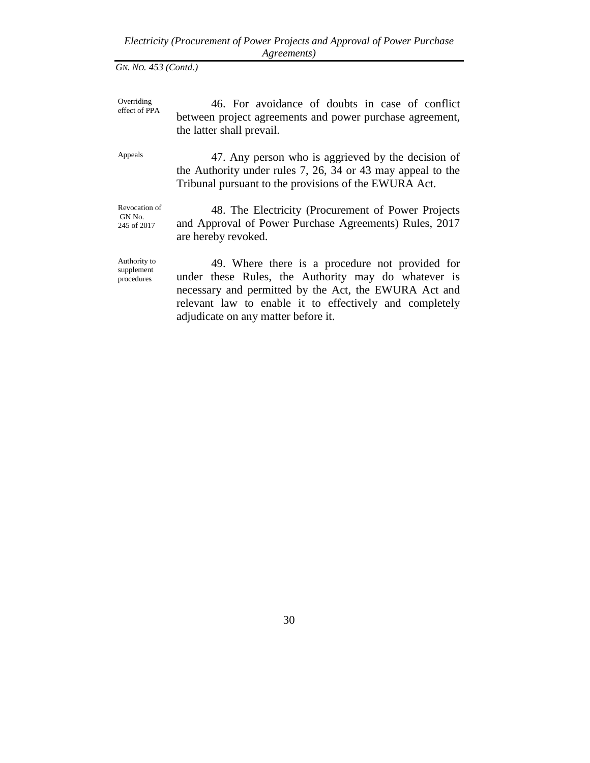**Overriding** effect of PPA 46. For avoidance of doubts in case of conflict between project agreements and power purchase agreement, the latter shall prevail.

Appeals 47. Any person who is aggrieved by the decision of the Authority under rules 7, 26, 34 or 43 may appeal to the Tribunal pursuant to the provisions of the EWURA Act.

Revocation of GN No. 245 of 2017

48. The Electricity (Procurement of Power Projects and Approval of Power Purchase Agreements) Rules, 2017 are hereby revoked.

Authority to supplement procedures

49. Where there is a procedure not provided for under these Rules, the Authority may do whatever is necessary and permitted by the Act, the EWURA Act and relevant law to enable it to effectively and completely adjudicate on any matter before it.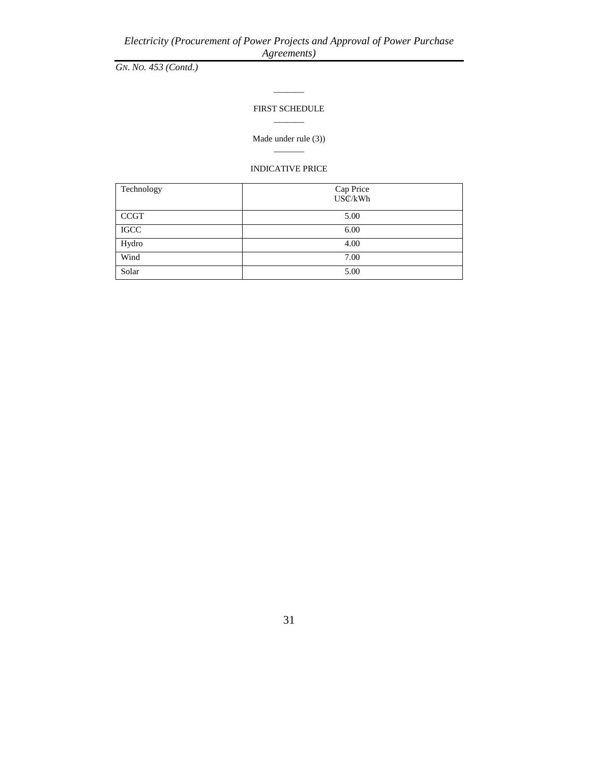*GN. NO. 453 (Contd.)*

#### FIRST SCHEDULE  $\overline{\phantom{a}}$

 $\overline{\phantom{a}}$ 

Made under rule (3))

 $\overline{\phantom{a}}$ 

# INDICATIVE PRICE

| Technology  | Cap Price<br>USC/kWh |
|-------------|----------------------|
| <b>CCGT</b> | 5.00                 |
| <b>IGCC</b> | 6.00                 |
| Hydro       | 4.00                 |
| Wind        | 7.00                 |
| Solar       | 5.00                 |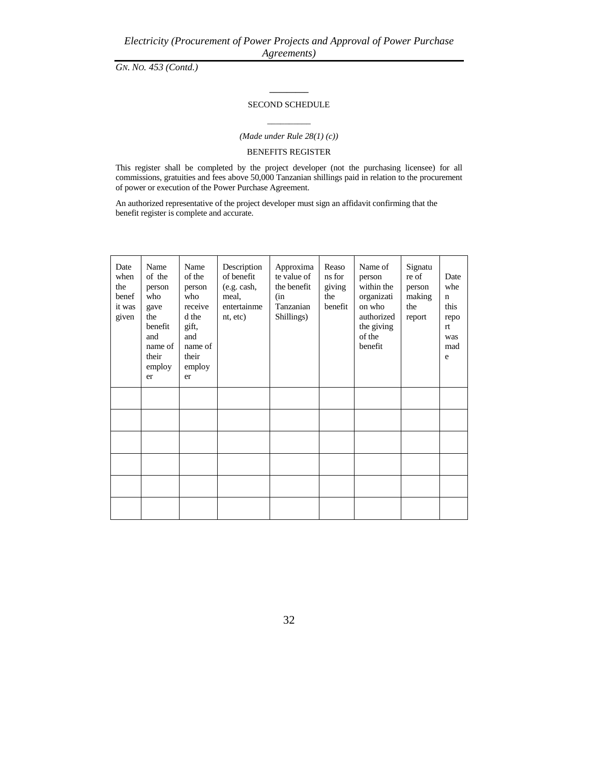# **\_\_\_\_\_\_\_\_\_** SECOND SCHEDULE

# $\overline{\phantom{a}}$   $\overline{\phantom{a}}$   $\overline{\phantom{a}}$   $\overline{\phantom{a}}$   $\overline{\phantom{a}}$   $\overline{\phantom{a}}$   $\overline{\phantom{a}}$   $\overline{\phantom{a}}$   $\overline{\phantom{a}}$   $\overline{\phantom{a}}$   $\overline{\phantom{a}}$   $\overline{\phantom{a}}$   $\overline{\phantom{a}}$   $\overline{\phantom{a}}$   $\overline{\phantom{a}}$   $\overline{\phantom{a}}$   $\overline{\phantom{a}}$   $\overline{\phantom{a}}$   $\overline{\$ *(Made under Rule 28(1) (c))*

### BENEFITS REGISTER

This register shall be completed by the project developer (not the purchasing licensee) for all commissions, gratuities and fees above 50,000 Tanzanian shillings paid in relation to the procurement of power or execution of the Power Purchase Agreement.

An authorized representative of the project developer must sign an affidavit confirming that the benefit register is complete and accurate.

| Date<br>when<br>the<br>benef<br>it was<br>given | Name<br>of the<br>person<br>who<br>gave<br>the<br>benefit<br>and<br>name of<br>their<br>employ<br>er | Name<br>of the<br>person<br>who<br>receive<br>d the<br>gift,<br>and<br>name of<br>their<br>employ<br>er | Description<br>of benefit<br>(e.g. cash,<br>meal,<br>entertainme<br>nt, etc) | Approxima<br>te value of<br>the benefit<br>(in<br>Tanzanian<br>Shillings) | Reaso<br>ns for<br>giving<br>the<br>benefit | Name of<br>person<br>within the<br>organizati<br>on who<br>authorized<br>the giving<br>of the<br>benefit | Signatu<br>re of<br>person<br>making<br>the<br>report | Date<br>whe<br>$\mathbf n$<br>this<br>repo<br>rt.<br>was<br>mad<br>e |
|-------------------------------------------------|------------------------------------------------------------------------------------------------------|---------------------------------------------------------------------------------------------------------|------------------------------------------------------------------------------|---------------------------------------------------------------------------|---------------------------------------------|----------------------------------------------------------------------------------------------------------|-------------------------------------------------------|----------------------------------------------------------------------|
|                                                 |                                                                                                      |                                                                                                         |                                                                              |                                                                           |                                             |                                                                                                          |                                                       |                                                                      |
|                                                 |                                                                                                      |                                                                                                         |                                                                              |                                                                           |                                             |                                                                                                          |                                                       |                                                                      |
|                                                 |                                                                                                      |                                                                                                         |                                                                              |                                                                           |                                             |                                                                                                          |                                                       |                                                                      |
|                                                 |                                                                                                      |                                                                                                         |                                                                              |                                                                           |                                             |                                                                                                          |                                                       |                                                                      |
|                                                 |                                                                                                      |                                                                                                         |                                                                              |                                                                           |                                             |                                                                                                          |                                                       |                                                                      |
|                                                 |                                                                                                      |                                                                                                         |                                                                              |                                                                           |                                             |                                                                                                          |                                                       |                                                                      |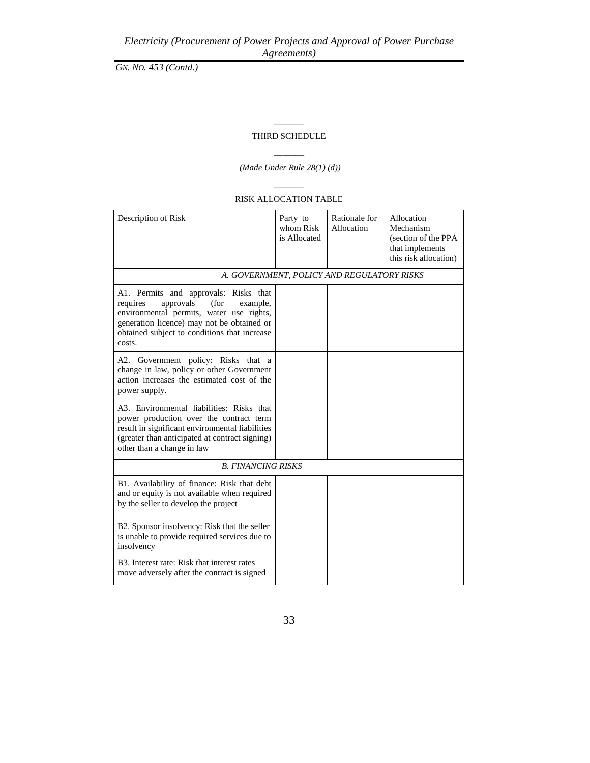# $\overline{\phantom{a}}$ THIRD SCHEDULE

# $\overline{\phantom{a}}$ *(Made Under Rule 28(1) (d))*

### RISK ALLOCATION TABLE

 $\overline{\phantom{a}}$ 

| Description of Risk                                                                                                                                                                                                                    | Party to<br>whom Risk<br>is Allocated | Rationale for<br>Allocation | Allocation<br>Mechanism<br>(section of the PPA<br>that implements<br>this risk allocation) |  |  |
|----------------------------------------------------------------------------------------------------------------------------------------------------------------------------------------------------------------------------------------|---------------------------------------|-----------------------------|--------------------------------------------------------------------------------------------|--|--|
| A. GOVERNMENT, POLICY AND REGULATORY RISKS                                                                                                                                                                                             |                                       |                             |                                                                                            |  |  |
| A1. Permits and approvals: Risks that<br>approvals<br>(for<br>requires<br>example.<br>environmental permits, water use rights,<br>generation licence) may not be obtained or<br>obtained subject to conditions that increase<br>costs. |                                       |                             |                                                                                            |  |  |
| A2. Government policy: Risks that a<br>change in law, policy or other Government<br>action increases the estimated cost of the<br>power supply.                                                                                        |                                       |                             |                                                                                            |  |  |
| A3. Environmental liabilities: Risks that<br>power production over the contract term<br>result in significant environmental liabilities<br>(greater than anticipated at contract signing)<br>other than a change in law                |                                       |                             |                                                                                            |  |  |
| <b>B. FINANCING RISKS</b>                                                                                                                                                                                                              |                                       |                             |                                                                                            |  |  |
| B1. Availability of finance: Risk that debt<br>and or equity is not available when required<br>by the seller to develop the project                                                                                                    |                                       |                             |                                                                                            |  |  |
| B2. Sponsor insolvency: Risk that the seller<br>is unable to provide required services due to<br>insolvency                                                                                                                            |                                       |                             |                                                                                            |  |  |
| B3. Interest rate: Risk that interest rates<br>move adversely after the contract is signed                                                                                                                                             |                                       |                             |                                                                                            |  |  |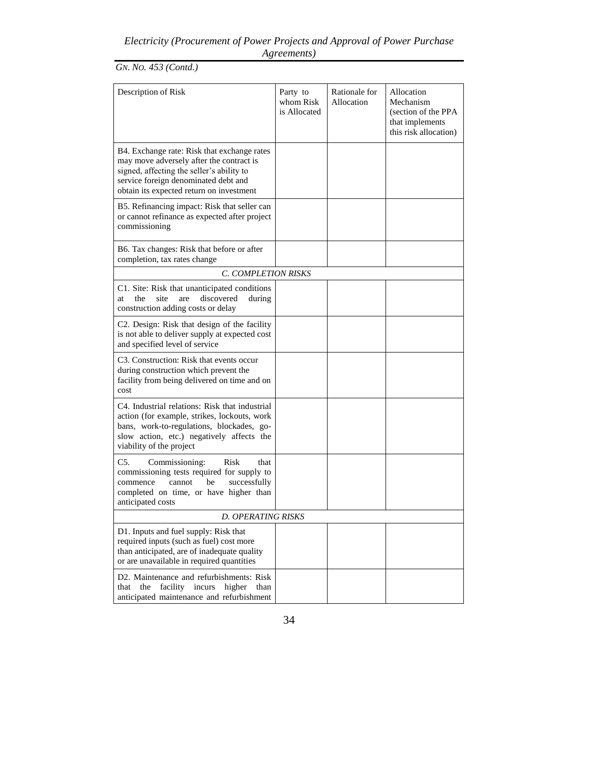*GN. NO. 453 (Contd.)*

| Description of Risk                                                                                                                                                                                                      | Party to<br>whom Risk<br>is Allocated | Rationale for<br>Allocation | Allocation<br>Mechanism<br>(section of the PPA<br>that implements<br>this risk allocation) |  |  |
|--------------------------------------------------------------------------------------------------------------------------------------------------------------------------------------------------------------------------|---------------------------------------|-----------------------------|--------------------------------------------------------------------------------------------|--|--|
| B4. Exchange rate: Risk that exchange rates<br>may move adversely after the contract is<br>signed, affecting the seller's ability to<br>service foreign denominated debt and<br>obtain its expected return on investment |                                       |                             |                                                                                            |  |  |
| B5. Refinancing impact: Risk that seller can<br>or cannot refinance as expected after project<br>commissioning                                                                                                           |                                       |                             |                                                                                            |  |  |
| B6. Tax changes: Risk that before or after<br>completion, tax rates change                                                                                                                                               |                                       |                             |                                                                                            |  |  |
| C. COMPLETION RISKS                                                                                                                                                                                                      |                                       |                             |                                                                                            |  |  |
| C1. Site: Risk that unanticipated conditions<br>are<br>discovered<br>the<br>site<br>during<br>at<br>construction adding costs or delay                                                                                   |                                       |                             |                                                                                            |  |  |
| C2. Design: Risk that design of the facility<br>is not able to deliver supply at expected cost<br>and specified level of service                                                                                         |                                       |                             |                                                                                            |  |  |
| C3. Construction: Risk that events occur<br>during construction which prevent the<br>facility from being delivered on time and on<br>cost                                                                                |                                       |                             |                                                                                            |  |  |
| C4. Industrial relations: Risk that industrial<br>action (for example, strikes, lockouts, work<br>bans, work-to-regulations, blockades, go-<br>slow action, etc.) negatively affects the<br>viability of the project     |                                       |                             |                                                                                            |  |  |
| C5.<br>Risk<br>Commissioning:<br>that<br>commissioning tests required for supply to<br>be<br>successfully<br>commence<br>cannot<br>completed on time, or have higher than<br>anticipated costs                           |                                       |                             |                                                                                            |  |  |
| <b>D. OPERATING RISKS</b>                                                                                                                                                                                                |                                       |                             |                                                                                            |  |  |
| D1. Inputs and fuel supply: Risk that<br>required inputs (such as fuel) cost more<br>than anticipated, are of inadequate quality<br>or are unavailable in required quantities                                            |                                       |                             |                                                                                            |  |  |
| D2. Maintenance and refurbishments: Risk<br>facility<br>higher<br>the<br>incurs<br>than<br>that<br>anticipated maintenance and refurbishment                                                                             |                                       |                             |                                                                                            |  |  |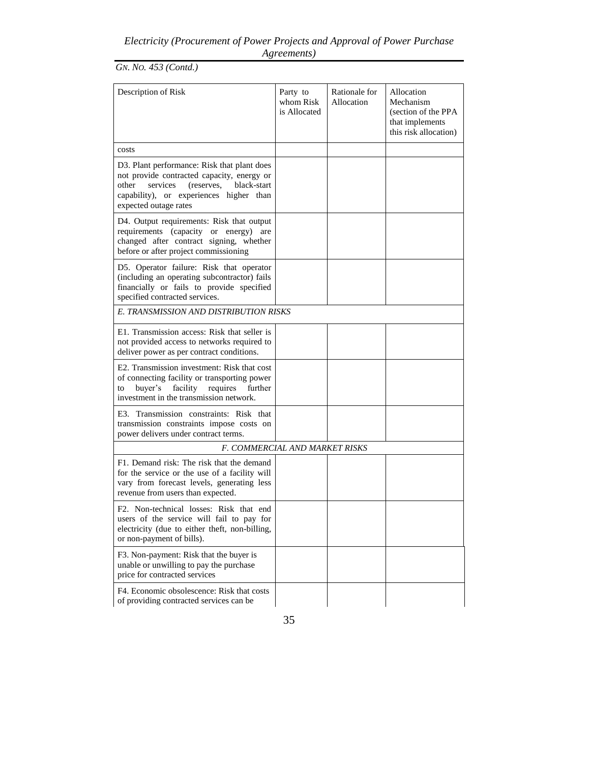*GN. NO. 453 (Contd.)*

| Description of Risk                                                                                                                                                                                             | Party to<br>whom Risk<br>is Allocated | Rationale for<br>Allocation | Allocation<br>Mechanism<br>(section of the PPA<br>that implements<br>this risk allocation) |
|-----------------------------------------------------------------------------------------------------------------------------------------------------------------------------------------------------------------|---------------------------------------|-----------------------------|--------------------------------------------------------------------------------------------|
| costs                                                                                                                                                                                                           |                                       |                             |                                                                                            |
| D3. Plant performance: Risk that plant does<br>not provide contracted capacity, energy or<br>services<br>other<br>(reserves,<br>black-start<br>capability), or experiences higher than<br>expected outage rates |                                       |                             |                                                                                            |
| D4. Output requirements: Risk that output<br>requirements (capacity or energy)<br>are<br>changed after contract signing, whether<br>before or after project commissioning                                       |                                       |                             |                                                                                            |
| D5. Operator failure: Risk that operator<br>(including an operating subcontractor) fails<br>financially or fails to provide specified<br>specified contracted services.                                         |                                       |                             |                                                                                            |
| E. TRANSMISSION AND DISTRIBUTION RISKS                                                                                                                                                                          |                                       |                             |                                                                                            |
| E1. Transmission access: Risk that seller is<br>not provided access to networks required to<br>deliver power as per contract conditions.                                                                        |                                       |                             |                                                                                            |
| E2. Transmission investment: Risk that cost<br>of connecting facility or transporting power<br>buyer's<br>facility requires further<br>to<br>investment in the transmission network.                            |                                       |                             |                                                                                            |
| E3. Transmission constraints: Risk that<br>transmission constraints impose costs on<br>power delivers under contract terms.                                                                                     |                                       |                             |                                                                                            |
| F. COMMERCIAL AND MARKET RISKS                                                                                                                                                                                  |                                       |                             |                                                                                            |
| F1. Demand risk: The risk that the demand<br>for the service or the use of a facility will<br>vary from forecast levels, generating less<br>revenue from users than expected.                                   |                                       |                             |                                                                                            |
| F <sub>2</sub> . Non-technical losses: Risk that end<br>users of the service will fail to pay for<br>electricity (due to either theft, non-billing,<br>or non-payment of bills).                                |                                       |                             |                                                                                            |
| F3. Non-payment: Risk that the buyer is<br>unable or unwilling to pay the purchase<br>price for contracted services                                                                                             |                                       |                             |                                                                                            |
| F4. Economic obsolescence: Risk that costs<br>of providing contracted services can be                                                                                                                           |                                       |                             |                                                                                            |